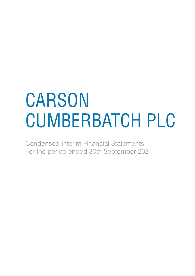# CARSON CUMBERBATCH PLC

Condensed Interim Financial Statements For the period ended 30th September 2021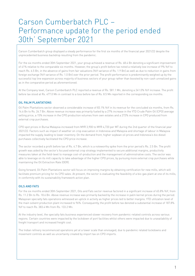## Carson Cumberbatch PLC – Performance update for the period ended 30th' September 2021

Carson Cumberbatch group displayed a steady performance for the first six months of the financial year 2021/22 despite the unprecedented business backdrop resulting from the pandemic.

For the six months ended 30th September 2021, your group achieved a revenue of Rs. 68.4 Bn denoting a significant improvement of 41% relative to the comparable six months. However, the group's profit before tax noted a relatively low increase of 9% YoY to reach Rs. 6.5 Bn, in the absence of gains from fair valuations (YoY variance of Rs. 1.9 Bn) as well as due to reduction in gains from foreign exchange (YoY variance of Rs. 1.0 Bn) over the prior period. The profit performance is predominantly weighed up by the successful top line expansion across majority of business sectors of your group rather than boosted by non-cash unrealized gains as in the comparative period as aforementioned.

At the Company level, Carson Cumberbatch PLC reported a revenue of Rs. 581.1 Mn, denoting a 241.0% YoY increase. The profit before tax stood at Rs. 477.0 Mn in contrast to a loss before tax of Rs. 8.5 Mn reported in the corresponding six months.

## OIL PALM PLANTATIONS

Oil Palm Plantations sector observed a considerable increase of 83.1% YoY in its revenue for the concluded six months, from Rs. 14.6 Bn to Rs. 26.7 Bn. Above revenue increase was primarily fueled by a 27% increase in the YTD Crude Palm Oil (CPO) average selling price, a 15% increase in the CPO production volumes from own estates and a 272% increase in CPO produced from external crop purchases.

CPO spot prices in Bursa Malaysia increased from MYR 3,900 to MYR 4,720 per MT during the 2nd quarter of the financial year 2021/22. Factors such as impact of weather on crop evacuation in Indonesia and Malaysia and shortage of labour in Malaysia impacted the supply, leading to lower inventory. On the demand front, higher soybean oil prices and Indonesia's bio diesel purchases collectively facilitated the CPO price increase.

The sector recorded a profit before tax of Rs. 4.7 Bn, which is a noteworthy spike from the prior period's Rs. 2.5 Bn. The profit growth was aided by the sector's focused external crop strategy implemented to secure additional margins, productivity measures taken at the field-level to manage cost-of-production and the management of administrative costs. The sector was able to leverage on its mill capacity to take advantage of the higher CPO prices, by pursuing more external crop purchases while maintaining the Oil Extraction Rate (OER).

Going forward, Oil Palm Plantations sector will focus on improving margins by obtaining certification for new mills, which will facilitate premium pricing for its CPO sales. At present, the sector is evaluating the feasibility of a bio-gas plant at one of its mills, in conformity with its sustainability framework action plan.

## OILS AND FATS

For the six months ended 30th September 2021, Oils and Fats sector revenue factored in a significant increase of 65.8% YoY, from Rs. 11.2 Bn to Rs. 18.6 Bn. Above revenue increase was primarily backed by the increase in palm kernel prices during the period. Malaysian specialty fats operations witnessed an uptick in activity as higher prices led to better margins. YTD utilization level of the main solvent production plant increased to 96%. Consequently, the profit before tax denoted a substantial increase of 187.8% YoY to reach Rs. 383.4 Mn from Rs. 133.2 Mn.

At the industry level, the specialty fats business experienced slower recovery from pandemic-related controls across various regions. Certain countries were impacted by the lockdown of port facilities whilst others were impacted due to unavailability of freight transport and increased freight cost.

The Indian refinery recommenced operations yet at a lower scale than envisaged, due to pandemic related lockdowns and movement controls as well as uncertainty created by import tax on CPO imports.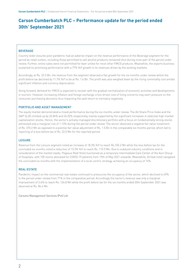## **Carson Cumberbatch PLC – Performance update for the period ended 30th' September 2021**

## **BEVERAGE**

Country-wide closures post-pandemic had an adverse impact on the revenue performance of the Beverage segment for the period as retail outlets, including those permitted to sell alcohol products remained shut during most part of the period under review. Further, online sales were not permitted for beer unlike for most other FMCG products. Meanwhile, the exports business sustained its promising performance with a 77% YoY growth in its revenues driven by the existing markets.

Accordingly, at Rs. 22.3 Bn, the revenue from the segment observed a flat growth for the six months under review whilst the profit before tax declined by 11.7% YoY to be at Rs. 1.6 Bn. The profit was also weighed down by the rising commodity cost amidst significant inflation and currency depreciation.

Going forward, demand for FMCG is expected to recover with the gradual normalization of economic activities and developments in tourism. However, increasing inflation and foreign exchange crisis-driven cost of living concerns may exert pressure on the consumer purchasing decisions thus impacting the said return to normalcy negatively.

## PORTFOLIO AND ASSET MANAGEMENT

The equity market demonstrated a mixed performance during the six months under review. The All Share Price Index and the S&P SL20 climbed up by 32.84% and 24.02% respectively, mainly supported by the significant increases in selective high market capitalization stocks. Hence, the sector's actively-managed discretionary portfolio with a focus on fundamentally strong stocks witnessed only a marginal rise of 1.13% during the period under review. The sector observed a negative fair value movement of Rs. 370.2 Mn as opposed to a positive fair value adjustment of Rs. 1.5 Bn in the comparable six months period, which led to reporting of a loss before tax of Rs. 22.5 Mn for the reported period.

## LEISURE

Revenue from the Leisure segment noted an increase of 18.3% YoY to reach Rs.105.2 Mn while the loss before tax for the concluded six months noted a reduction of 13.3% YoY to reach Rs. 110.9 Mn. Due to subdued industry conditions and in consideration of the market needs, Pegasus Reef Hotel functioned as a temporary Intermediate Care Center of the Asiri Group of Hospitals, with 100 rooms allocated for COVID-19 patients from 19th of May 2021 onwards. Meanwhile, Giritale hotel navigated the concluded six months with the implementation of a local-centric strategy, achieving an occupancy of 14%.

## REAL ESTATE

Pandemic impact on the commercial real estate continued to pressurize the occupancy of the sector, which declined to 69% in the period under review from 71% in the comparative period. Accordingly the sector's revenue saw only a marginal improvement of 2.4% to reach Rs. 124.8 Mn while the profit before tax for the six months ended 30th September 2021 was observed at Rs. 86.4 Mn.

Carsons Management Services (Pvt) Ltd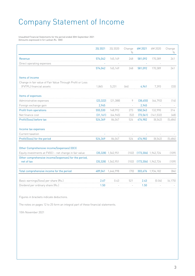## Company Statement of Income

(Amounts expressed in Sri Lankan Rs. '000) Unaudited Financial Statements for the period ended 30th September 2021

|                                                                     | 2Q 2021   | 2Q 2020               | Change<br>$\frac{0}{0}$  | 6M 2021   | 6M 2020                | Change<br>$\%$ |
|---------------------------------------------------------------------|-----------|-----------------------|--------------------------|-----------|------------------------|----------------|
| Revenue                                                             | 574,042   | 165,149               | 248                      | 581,092   | 170,389                | 241            |
| Direct operating expenses                                           |           |                       |                          |           |                        |                |
|                                                                     | 574,042   | 165,149               | 248                      | 581,092   | 170,389                | 241            |
| Items of income                                                     |           |                       |                          |           |                        |                |
| Change in fair value of Fair Value Through Profit or Loss           |           |                       |                          |           |                        |                |
| (FVTPL) financial assets                                            | 1,865     | 5,231                 | (64)                     | 4,961     | 7,393                  | (33)           |
| Items of expenses                                                   |           |                       |                          |           |                        |                |
| Administrative expenses                                             | [23, 322] | [21, 388]             | 9                        | (38, 455) | [44, 792]              | (14)           |
| Foreign exchange gain                                               | 2,945     |                       | $\bar{a}$                | 2,945     |                        |                |
| Profit from operations                                              | 555,530   | 148,992               | 273                      | 550,543   | 132,990                | 314            |
| Net finance cost                                                    | (31, 161) | (64, 945)             | (52)                     | (73, 561) | (141, 532)             | (48)           |
| Profit/(loss) before tax                                            | 524,369   | 84,047                | 524                      | 476,982   | [8, 542]               | (5,684)        |
| Income tax expenses                                                 |           |                       |                          |           |                        |                |
| Current taxation                                                    |           |                       |                          |           |                        |                |
| Profit/(loss) for the period                                        | 524,369   | 84,047                | 524                      | 476,982   | [8, 542]               | (5,684)        |
| Other Comprehensive income/(expenses) (OCI)                         |           |                       |                          |           |                        |                |
| Equity investments at FVOCI - net change in fair value              |           | $(35, 328)$ 1,562,951 | (102)                    |           | $(173, 306)$ 1,942,724 | (109)          |
| Other comprehensive income/(expenses) for the period,<br>net of tax |           | $(35, 328)$ 1,562,951 | (102)                    |           | $(173, 306)$ 1,942,724 | (109)          |
| Total comprehensive income for the period                           | 489,041   | 1,646,998             | (70)                     |           | 303,676 1,934,182      | [84]           |
| Basic earnings/(loss) per share (Rs.)                               | 2.67      | 0.43                  | 521                      | 2.43      | [0.04]                 | (6, 175)       |
| Dividend per ordinary share (Rs.)                                   | 1.50      |                       | $\overline{\phantom{a}}$ | 1.50      |                        |                |

Figures in brackets indicate deductions.

The notes on pages 12 to 25 form an integral part of these financial statements.

10th November 2021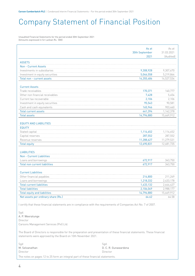## Company Statement of Financial Position

(Amounts expressed in Sri Lankan Rs. '000) Unaudited Financial Statements for the period ended 30th September 2021

|                                                              | As at            | As at            |
|--------------------------------------------------------------|------------------|------------------|
|                                                              | 30th September   | 31.03.2021       |
|                                                              | 2021             | (Audited)        |
| <b>ASSETS</b>                                                |                  |                  |
| Non - Current Assets                                         |                  |                  |
| Investments in subsidiaries                                  | 9,308,928        | 9,307,670        |
| Investment in equity securities                              | 5,046,558        | 5,219,864        |
| Total non - current assets                                   | 14,355,486       | 14,527,534       |
|                                                              |                  |                  |
| <b>Current Assets</b><br>Trade receivables                   |                  |                  |
| Other non financial receivables                              | 170,371<br>7.428 | 140,777<br>5.454 |
| Current tax recoverable                                      | 2,106            | 2,106            |
|                                                              | 95,543           | 90,581           |
| Investment in equity securities<br>Cash and cash equivalents | 165,946          | 903,460          |
| <b>Total current assets</b>                                  | 441,394          | 1,142,378        |
| <b>Total assets</b>                                          | 14,796,880       | 15,669,912       |
|                                                              |                  |                  |
| <b>EQUITY AND LIABILITIES</b>                                |                  |                  |
| <b>EQUITY</b>                                                |                  |                  |
| Stated capital                                               | 1,114,652        | 1,114,652        |
| Capital reserves                                             | 287,552          | 287,552          |
| Revenue reserves                                             | 11,288,627       | 11,279,531       |
| <b>Total equity</b>                                          | 12,690,831       | 12,681,735       |
| <b>LIABILITIES</b>                                           |                  |                  |
| <b>Non - Current Liabilities</b>                             |                  |                  |
| Loans and borrowings                                         | 672,917          | 343,750          |
| <b>Total non current liabilities</b>                         | 672,917          | 343,750          |
|                                                              |                  |                  |
| <b>Current Liabilities</b>                                   |                  |                  |
| Other financial payables                                     | 214,800          | 211,249          |
| Loans and borrowings                                         | 1,218,332        | 2,433,178        |
| <b>Total current liabilities</b>                             | 1,433,132        | 2,644,427        |
| <b>Total liabilities</b>                                     | 2,106,049        | 2,988,177        |
| <b>Total equity and liabilities</b>                          | 14,796,880       | 15,669,912       |
| Net assets per ordinary share (Rs.)                          | 64.62            | 64.58            |

Sgd. A. P. Weeratunge Director Carsons Management Services (Pvt) Ltd.

The Board of Directors is responsible for the preparation and presentation of these financial statements. These financial statements were approved by the Board on 10th November 2021.

| Sgd                                                                              | Sad.                 |
|----------------------------------------------------------------------------------|----------------------|
| M. Selvanathan                                                                   | D. C. R. Gunawardena |
| Director                                                                         | Director             |
| The notes on pages 12 to 25 form an integral part of these financial statements. |                      |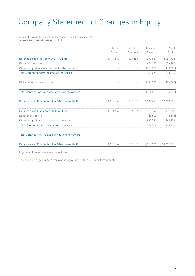## Company Statement of Changes in Equity

(Amounts expressed in Sri Lankan Rs. '000) Unaudited Financial Statements for the period ended 30th September 2021

|                                                    | Stated<br>Capital        | Capital<br>Reserve       | Revenue<br>Reserve | Total<br>Equity |
|----------------------------------------------------|--------------------------|--------------------------|--------------------|-----------------|
| Balance as at 31st March 2021 (Audited)            | 1,114,652                | 287,552                  | 11,279,531         | 12,681,735      |
| Profit for the period                              |                          |                          | 476,982            | 476,982         |
| Other comprehensive expenses for the period        |                          |                          | (173, 306)         | (173, 306)      |
| Total Comprehensive income for the period          |                          |                          | 303,676            | 303,676         |
| Dividend for ordinary shares                       | L.                       | $\overline{\phantom{a}}$ | (294, 580)         | (294, 580)      |
| Total Contributions by and distributions to owners |                          |                          | (294, 580)         | (294, 580)      |
| Balance as at 30th September 2021 (Unaudited)      | 1,114,652                | 287,552                  | 11,288,627         | 12,690,831      |
| Balance as at 31st March 2020 (Audited)            | 1,114,652                | 287,552                  | 10,080,749         | 11,482,953      |
| Loss for the period                                |                          |                          | [8, 542]           | (8, 542)        |
| Other comprehensive income for the period          | $\overline{\phantom{a}}$ | ٠                        | 1,942,724          | 1,942,724       |
| Total Comprehensive income for the period          |                          |                          | 1,934,182          | 1,934,182       |
| Total Contributions by and distributions to owners |                          |                          |                    |                 |
| Balance as at 30th September 2020 (Unaudited)      | 1,114,652                | 287,552                  | 12,014,931         | 13,417,135      |

Figures in brackets indicate deductions.

The notes on pages 12 to 25 form an integral part of these financial statements.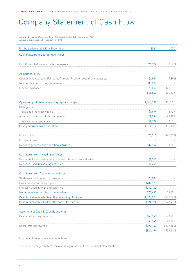**Carson Cumberbatch PLC** | Condensed Interim Financial Statements - For the period ended 30th September 2021

## Company Statement of Cash Flow

(Amounts expressed in Sri Lankan Rs. '000) Unaudited Financial Statements for the period ended 30th September 2021

| For the period ended 30th September                                        | 2021          | 2020          |
|----------------------------------------------------------------------------|---------------|---------------|
| <b>Cash Flows from Operating Activities</b>                                |               |               |
| Profit/(loss) before income tax expenses                                   | 476,982       | (8, 542)      |
| Adjustments for:                                                           |               |               |
| Change in fair value of Fair Value Through Profit or Loss financial assets | (4,961)       | (7, 393)      |
| Re classification of long term loans                                       | 500,000       |               |
| Finance expenses                                                           | 73,561        | 141,532       |
|                                                                            | 568,600       | 134,139       |
| Operating profit before working capital changes                            | 1,045,582     | 125,597       |
| Changes in                                                                 |               |               |
| Trade and other receivables                                                | (1, 974)      | 3,939         |
| Amounts due from related companies                                         | (29, 594)     | 42,292        |
| Trade and other payables                                                   | (1, 702)      | 3,355         |
| Cash generated from operations                                             | 1,012,312     | 175,183       |
| Interest paid                                                              | (75, 210)     | (141, 532)    |
| Income tax paid                                                            |               |               |
| Net cash generated in operating activities                                 | 937,102       | 33,651        |
|                                                                            |               |               |
| Cash flows from investing activities                                       |               |               |
| Payments for acquisition of additional interest in subsidiaries            | (1, 258)      |               |
| Net cash used in investing activities                                      | (1, 258)      |               |
| Cash flows from financing activitieses                                     |               |               |
| Settlement of long term borrowings                                         | (70, 834)     |               |
| Dividend paid by the Company                                               | (289, 328)    |               |
| Net cash used in financing activities                                      | (360, 162)    |               |
| Net increase in cash & cash equivalents                                    | 575,682       | 33,651        |
| Cash & cash equivalents at the beginning of the year                       | (1, 399, 876) | (1,962,062)   |
| Cash & cash equivalents at the end of the period                           | (824, 194)    | (1,928,411)   |
| <b>Statement of Cash &amp; Cash Equivalents</b>                            |               |               |
| Cash and cash equivalents                                                  | 165,946       | 1,248,755     |
|                                                                            | 165,946       | 1,248,755     |
| Short term borrowings                                                      | (990, 140)    | [3, 177, 166] |
|                                                                            | (824, 194)    | (1,928,411)   |
| Figures in brackets indicate deductions.                                   |               |               |

The notes on pages 12 to 25 form an integral part of these financial statements.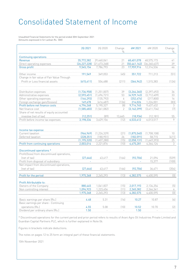## Consolidated Statement of Income

(Amounts expressed in Sri Lankan Rs. '000) Unaudited Financial Statements for the period ended 30th September 2021

|                                             | 2Q 2021        | 2Q 2020       | Change<br>$\frac{0}{0}$  | 6M 2021        | 6M 2020        | Change<br>$\%$   |
|---------------------------------------------|----------------|---------------|--------------------------|----------------|----------------|------------------|
| Continuing operations                       |                |               |                          |                |                |                  |
| Revenue                                     | 35,772,382     | 29,460,061    | 21                       | 68,401,078     | 48,575,173     | 41               |
| Direct operating expenses                   | (26, 227, 228) | (21,673,268)  | 21                       | [50, 441, 162] | (36, 260, 637) | 39               |
| Gross profit                                | 9,545,154      | 7,786,793     | 23                       | 17,959,916     | 12,314,536     | 46               |
| Other income                                | 191,549        | 349,053       | (45)                     | 351,722        | 711,213        | (51)             |
| Change in fair value of Fair Value Through  |                |               |                          |                |                |                  |
| Profit or Loss financial assets             | (615, 411)     | 554,488       | (211)                    | (364, 942)     | 1,515,383      | (124)            |
|                                             |                |               |                          |                |                |                  |
| Distribution expenses                       | (1,736,958)    | (1, 251, 007) | 39                       | (3, 264, 360)  | [2, 397, 492]  | 36               |
| Administrative expenses                     | (2, 593, 451)  | (1,696,721)   | 53                       | (4,929,143)    | (3,712,409)    | 33               |
| Other operating expenses                    | (144, 293)     | (135, 792)    | 6                        | (252, 474)     | (217, 800)     | 16               |
| Foreign exchange gain/(losses)              | 149,678        | [416, 487]    | (136)                    | 214,026        | 1,224,001      | (83)             |
| Profit before net finance costs             | 4,796,268      | 5,190,327     | (8)                      | 9,714,745      | 9,437,432      | 3                |
| Net finance cost                            | (1, 585, 683)  | (1, 561, 082) | $\overline{2}$           | (3, 162, 399)  | (3,411,734)    | $\overline{[7]}$ |
| Share of net results of equity accounted    |                |               |                          |                |                |                  |
| investee (net of tax)                       | (12, 251)      | [89]          | 13,665                   | (18,934)       | (12, 181)      | 55               |
| Profit before income tax expenses           | 3,198,334      | 3,629,156     | (12)                     | 6,533,412      | 6,013,517      | 9                |
|                                             |                |               |                          |                |                |                  |
| Income tax expense<br>Current taxation      | (966, 969)     | (1, 226, 329) | (21)                     | (1,875,540)    | (1,708,108)    | 10 <sup>°</sup>  |
| Deferred taxation                           | (228, 351)     | (180, 951)    | 26                       | (182, 591)     | 58,715         | (411)            |
|                                             | (1, 195, 320)  | (1,407,280)   | (15)                     | (2,058,131)    | (1,649,393)    | 25               |
| Profit from continuing operations           | 2,003,014      | 2,221,876     | (10)                     | 4,475,281      | 4,364,124      | $\overline{3}$   |
|                                             |                |               |                          |                |                |                  |
| Discontinued operations *                   |                |               |                          |                |                |                  |
| Profit/(loss) from discontinued operations, |                |               |                          |                |                |                  |
| (net of tax)                                | [27,646]       | 43,417        | (164)                    | (92, 706)      | 21,094         | (539)            |
| Profit from disposal of subsidiary          | ÷.             |               |                          |                | 15,377         | (100)            |
| Net impact from discontinued operations,    |                |               |                          |                |                |                  |
| (net of tax)                                | [27,646]       | 43,417        | (164)                    | (92, 706)      | 36,471         | (354)            |
| Profit for the period                       | 1,975,368      | 2,265,293     | (13)                     | 4,382,575      | 4,400,595      | [0]              |
| Profit Attributable to:                     |                |               |                          |                |                |                  |
| Owners of the Company                       | 880,445        | 1,041,837     | (15)                     | 2,017,193      | 2,134,254      | $\overline{(5)}$ |
| Non controlling interest                    | 1,094,923      | 1,223,456     | (11)                     | 2,365,382      | 2,266,341      | 4                |
|                                             | 1,975,368      | 2,265,293     | (13)                     | 4,382,575      | 4,400,595      | $\overline{10}$  |
| Basic earnings per share (Rs.)              | 4.48           | 5.31          | (16)                     | 10.27          | 10.87          | (6)              |
| Basic earnings per share - Continuing       |                |               |                          |                |                |                  |
| operations (Rs.)                            | 4.55           | 5.08          | (10)                     | 10.52          | 10.70          | (2)              |
| Dividend per ordinary share (Rs.)           | 1.50           |               | $\overline{\phantom{a}}$ | 1.50           |                |                  |

\* Discontinued operations for the current period and prior period refers to results of Arani Agro Oil Industries Private Limited and Guardian Capital Partners PLC, which is further explained in Note 06.

Figures in brackets indicate deductions.

The notes on pages 12 to 25 form an integral part of these financial statements.

10th November 2021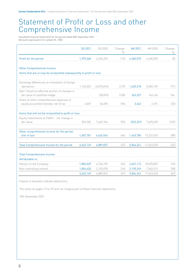## Statement of Profit or Loss and other Comprehensive Income

(Amounts expressed in Sri Lankan Rs. '000) Unaudited Financial Statements for the period ended 30th September 2021

|                                                                                   | 2Q 2021   | 20 20 20    | Change<br>$\frac{0}{0}$ | 6M 2021    | 6M 2020    | Change<br>$\%$ |
|-----------------------------------------------------------------------------------|-----------|-------------|-------------------------|------------|------------|----------------|
| Profit for the period                                                             | 1,975,368 | 2,265,293   | (13)                    | 4,382,575  | 4,400,595  | (0)            |
| <b>Other Comprehensive Income</b>                                                 |           |             |                         |            |            |                |
| Items that are or may be reclassified subsequently to profit or loss:             |           |             |                         |            |            |                |
| Exchange differences on translation of foreign<br>operations                      | 1,133,022 | (3,070,816) | (137)                   | 1,620,218  | 5,583,149  | (71)           |
| Gain / (loss) on effective portion of changes in<br>fair value of cashflow hedge  |           | (28, 876)   | (100)                   | 363,327    | 143,166    | 154            |
| Share of other comprehensive expenses of<br>equity accounted investee, net of tax | 2,407     | 54,490      | (96)                    | 2,442      | 3,151      | [23]           |
| Items that will not be reclassified to profit or loss:                            |           |             |                         |            |            |                |
| Equity investments at FVOCI - net change in<br>fair value                         | 552.352   | 7,669,746   | (93)                    | (522, 201) | 7,493,459  | (107)          |
| Other comprehensive income for the period,<br>(net of tax)                        | 1,687,781 | 4,624,544   | (64)                    | 1,463,786  | 13,222,925 | [89]           |
| Total Comprehensive Income for the period                                         | 3,663,149 | 6,889,837   | (47)                    | 5,846,361  | 17,623,520 | (67)           |
| <b>Total Comprehensive Income</b>                                                 |           |             |                         |            |            |                |
| Attributable to:                                                                  |           |             |                         |            |            |                |
| Owners of the Company                                                             | 1,806,529 | 4,734,759   | (62)                    | 2,651,112  | 10,078,007 | (74)           |
| Non controlling interest                                                          | 1,856,620 | 2,155,078   | [14]                    | 3,195,249  | 7,545,513  | (58)           |
|                                                                                   | 3,663,149 | 6,889,837   | (47)                    | 5,846,361  | 17,623,520 | (67)           |

Figures in brackets indicate deductions.

The notes on pages 12 to 25 form an integral part of these financial statements.

10th November 2021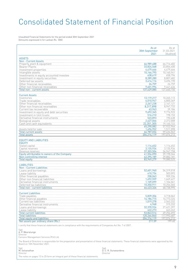## Consolidated Statement of Financial Position

(Amounts expressed in Sri Lankan Rs. '000) Unaudited Financial Statements for the period ended 30th September 2021

|                                                               | As at                     | As at                     |
|---------------------------------------------------------------|---------------------------|---------------------------|
|                                                               | 30th September            | 31.03.2021                |
|                                                               | 2021                      | (Audited)                 |
| <b>ASSETS</b>                                                 |                           |                           |
| <b>Non - Current Assets</b>                                   |                           |                           |
| Property, plant & equipment                                   | 66,989,488                | 66,716,482                |
| Bearer Plants                                                 | 33,824,568                | 33,854,400                |
| Investment properties                                         | 4,479,466                 | 4,479,466<br>10,160,941   |
| Intangible assets<br>Investments in equity accounted investee | 10,166,795<br>638,619     | 658,796                   |
| Investment in equity securities                               | 8,289,280                 | 8,807,682                 |
| Deferred tax assets                                           | 3,414,116                 | 3,496,190                 |
| Other financial receivables                                   | 24,759                    | 24.759                    |
| Other non financial receivables                               | 9,601,994                 | 9,441,434                 |
| Total non - current assets                                    | 137,429,085               | 137.640.150               |
|                                                               |                           |                           |
| <b>Current Assets</b>                                         |                           |                           |
| Inventories<br>Trade receivables                              | 13,119,217<br>6,010,947   | 10,265,113<br>4,800,369   |
| Other financial receivables                                   | 2,267,238                 | 2,167,121                 |
| Other non financial receivables                               | 8,317,898                 | 8,947,733                 |
| Current tax recoverable                                       | 63,963                    | 39,184                    |
| Investment in equity and debt securities                      | 9,692,345                 | 9,776,923                 |
| Investment in Unit trusts                                     | 516,210                   | 198,153                   |
| Derivative financial instruments                              | 523,893                   | 190.638                   |
| <b>Biological assets</b>                                      | 2,427,066                 | 2,372,008                 |
| Cash and cash equivalents                                     | 22,351,305                | 19.165.722                |
|                                                               | 65,290,082                | 57,922,964                |
| Assets held for sale<br><b>Total current assets</b>           | 1,496,952<br>66,787,034   | 1,511,098<br>59,434,062   |
| <b>Total assets</b>                                           | 204.216.119               | 197,074,212               |
|                                                               |                           |                           |
| <b>EQUITY AND LIABILITIES</b>                                 |                           |                           |
| <b>EQUITY</b>                                                 |                           |                           |
| Stated capital                                                | 1,114,652                 | 1,114,652                 |
| Capital reserves<br>Revenue reserves                          | 3,135,934<br>37,303,504   | 3,135,934<br>34, 947, 758 |
| Equity attributable to owners of the Company                  | 41,554,090                | 39,198,344                |
| Non-controlling interest                                      | 42,395,189                | 39,882,181                |
| <b>Total equity</b>                                           | 83,949,279                | 79,080,525                |
|                                                               |                           |                           |
| <b>LIABILITIES</b>                                            |                           |                           |
| <b>Non - Current Liabilities</b>                              |                           | 54,319,018                |
| Loans and borrowings                                          | 52,601,960<br>410.734     | 503,093                   |
| Lease liability<br>Other financial pavables                   | 258,063                   | 909,336                   |
| Other non financial liabilities                               | 1,692,559                 | 1,649,427                 |
| Derivative financial instruments                              | 1,109,099                 | 1,104,061                 |
| Deferred tax liabilities                                      | 10,350,911                | 10,254,060                |
| Total non - current liabilities                               | 66,423,326                | 68.738.995                |
|                                                               |                           |                           |
| <b>Current Liabilities</b>                                    |                           |                           |
| Trade payables<br>Other financial payables                    | 5,839,356<br>14, 186, 715 | 3,718,062<br>14,773,326   |
| Current tax liabilities                                       | 1,019,278                 | 2,563,332                 |
| Derivative financial instruments                              | 4,968                     | 315,332                   |
| Loans and borrowings                                          | 32,370,924                | 27,421,397                |
| Lease liability                                               | 422,273                   | 463,243                   |
| <b>Total current liabilities</b>                              | 53,843,514                | 49,254,692                |
| <b>Total liabilities</b>                                      | 120,266,840               | 117,993,687               |
| <b>Total equity and liabilities</b>                           | 204,216,119               | 197,074,212               |
| Net assets per ordinary share (Rs.)                           | 211.59                    | 199.60                    |

I certify that these financial statements are in compliance with the requirements of Companies Act No. 7 of 2007.

Sgd. A. P. Weeratunge Director

Carsons Management Services (Pvt) Ltd.

The Board of Directors is responsible for the preparation and presentation of these financial statements. These financial statements were approved by the<br>Board on 10th November 2021.

| Sqd                                                                              | Sad                  |
|----------------------------------------------------------------------------------|----------------------|
| M. Selvanathan                                                                   | D. C. R. Gunawardena |
| Director                                                                         | Director             |
| The notes on pages 12 to 25 form an integral part of these financial statements. |                      |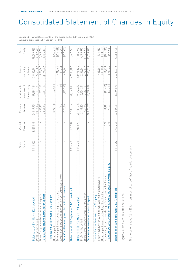## Consolidated Statement of Changes in Equity

(Amounts expressed in Sri Lankan Rs. '000) Unaudited Financial Statements for the period ended 30th September 2021

|                                                                                                                                                                                                                                                       | Stated<br>Capital                                            | Reserve<br>Capital                                           | Revenue<br>Reserve                                   | Attributable<br>to owners of<br>the company        | controlling<br>$Non -$<br>interest                | Equity<br>Total                                     |
|-------------------------------------------------------------------------------------------------------------------------------------------------------------------------------------------------------------------------------------------------------|--------------------------------------------------------------|--------------------------------------------------------------|------------------------------------------------------|----------------------------------------------------|---------------------------------------------------|-----------------------------------------------------|
| Other Comprehensive income for the period<br>Total comprehensive income for the period<br>Balance as at 31st March 2021 (Audited)<br>Profit for the period                                                                                            | $\mathbf{1}$<br>$\mathbb{I}$<br>1,114,652                    | $\mathbb{L}$<br>$\mathsf I$<br>$\mathbb{I}$<br>3,135,934     | 2,017,193<br>633,919<br>34, 947, 758<br>2,651,112    | 2,017,193<br>633,919<br>39, 198, 344<br>2,651,112  | 2,365,382<br>829,867<br>3,195,249<br>39,882,181   | 79,080,525<br>4,382,575<br>1,463,786<br>5,846,361   |
| Acquisition, disposal and changes in Non Controlling interest<br>Total Contributions by and distributions to owners<br>Dividend paid to non controlling shareholders<br>Transactions with owners of the Company<br>Dividend paid                      | $\mathbb{I}$<br>$\mathbb{I}$<br>$\mathbb{I}$<br>$\mathbf{1}$ | $\mathbf{I}$<br>$\mathbb{I}$<br>$\mathbb{I}$<br>$\mathbb{I}$ | (294, 580)<br>(786)<br>(295, 366)                    | (295, 366)<br>[786]<br>294,580                     | (678, 468)<br>(3,773)<br>(682.241)                | (678, 468)<br>(4,559)<br>[977,607]<br>294,580       |
| [bej<br>Balance as at 30th September 2021 (Unaudi                                                                                                                                                                                                     | 1,114,652                                                    | 3,135,934                                                    | 37,303,504                                           | 41,554,090                                         | 42,395,189                                        | 83, 949, 279                                        |
| Other Comprehensive income for the period<br>Total comprehensive income for the period<br>Transactions with owners of the Company<br>Balance as at 31st March 2020 (Audited)<br>Profit for the period                                                 | $\mathbb{I}$<br>$\,$ $\,$<br>$\,$ $\,$<br>1,114,652          | $\mathbb{I}$<br>$\mathsf I$<br>$\mathbb{I}$<br>2,746,892     | 2,134,254<br>7,943,753<br>23, 102, 955<br>10,078,007 | 2,134,254<br>7,943,753<br>26,964,499<br>10,078,007 | 28,221,465<br>2,266,341<br>5,279,172<br>7,545,513 | 4,400,595<br>55,185,964<br>13,222,925<br>17,623,520 |
| Transactions with owners of the company, recognized directly in equity<br>Acquisition, disposal and changes in Non controlling interest<br>Share capital contributed by non-controlling shareholders<br>Dividend paid to non-controlling shareholders | $\mathbf{1}$<br>$\mathbf{I}$<br>$\,$ I<br>$\,$ (             | $\mathbb{I}$<br>$\,$ I<br>371<br>371                         | [92, 981]<br>(92, 981)<br>I,                         | [92,610]<br>(92,610)<br>ı.                         | [330, 128]<br>[11,625]<br>591,834<br>933,587      | [330, 128]<br>[104, 235]<br>499,224<br>933,587      |
| Balance as at 30th September 2020 (Unaudited)<br>Figures in brackets indicate deductions.                                                                                                                                                             | 1,114,652                                                    | 2,747,263                                                    | 33,087,981                                           | 36,949,896                                         | 36,358,812                                        | 73,308,708                                          |
| The notes on pages 12 to 25 form an integral part of these financial statements.                                                                                                                                                                      |                                                              |                                                              |                                                      |                                                    |                                                   |                                                     |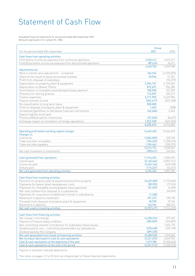## Statement of Cash Flow

(Amounts expressed in Sri Lankan Rs. '000) Unaudited Financial Statements for the period ended 30th September 2021

|                                                                                        | Group         |                     |
|----------------------------------------------------------------------------------------|---------------|---------------------|
| For the period ended 30th September                                                    | 2021          | 2020                |
| Cash flows from operating activities                                                   |               |                     |
| Profit before income tax expenses from continuing operations                           | 6,533,412     | 6,013,517           |
| Profit/(loss) before income tax expenses from discontinued operations                  | [89.676]      | 36,471              |
|                                                                                        | 6,443,736     | 6,049,988           |
| Adjustments for:                                                                       |               |                     |
| Mark to market value adjustments - unrealized                                          | 364,942       | (1, 570, 559)       |
| Share of net result of equity accounted investee<br>Profit from disposal of subsidiary | 18,934        | 12,181<br>(15, 377) |
| Depreciation on property, plant & equipment                                            | 2,394,101     | 2,159,369           |
| Depreciation on Bearer Plants                                                          | 872,691       | 956,200             |
| Amortization of intangible assets/prepaid lease payment                                | 158,590       | 157,309             |
| Provision for retiring gratuity                                                        | 112,597       | 105,219             |
| Finance expenses                                                                       | 3,171,955     | 3,439,986           |
| Plasma interest income                                                                 | (342, 417)    | [337, 438]          |
| Re classification to long term loans                                                   | 500,000       |                     |
| Profit on disposal of property, plant & equipment                                      | 1,633         | (308)               |
| Unrealized (gain)/loss on Derivative financial instruments                             | (42,606)      | 2,245               |
| Deposit liability write back                                                           |               |                     |
| Provision/(Reversal) for Inventories                                                   | (27, 254)     | [8,637]             |
| Exchange impact on translation of foreign operations                                   | 1,022,528     | (623, 360)          |
|                                                                                        | 8,205,694     | 4,276,830           |
| Operating profit before working capital changes                                        | 14,649,430    | 10,326,818          |
| Changes in:                                                                            |               |                     |
| Inventories                                                                            | (2,826,850)   | 520.968             |
| Trade and other receivables                                                            | [704, 269]    | (1, 258, 518)       |
| Trade and other payables                                                               | 1,396,463     | (330, 701)          |
|                                                                                        | 12,514,774    | 9,258,567           |
| Net cash movement in investments                                                       | (598, 421)    | 326,026             |
| Cash generated from operations                                                         | 11,916,353    | 9,584,593           |
| Interest paid                                                                          | [3, 140, 666] | (3,892,151)         |
| Income tax paid                                                                        | [3,365,166]   | (620, 538)          |
| Gratuity paid                                                                          | (116, 267)    | (64, 621)           |
| Net cash generated from operating activities                                           | 5,294,254     | 5,007,282           |
| Cash flows from investing activities                                                   |               |                     |
| Payments for property, plant & equipment/investment property                           | (3,429,300)   | (1, 775, 045)       |
| Payments for bearer plant development costs                                            | (58, 203)     | [73, 324]           |
| Payments for intangible assets/prepaid lease payments                                  | (51, 403)     | (4,489)             |
| Net cash outflow from disposal of a subsidiaries                                       |               | (40, 565)           |
| Payments for acquisition of additional interest in subsidiaries                        | (1, 258)      |                     |
| Movement in plasma investment                                                          | 451,223       | 168,158             |
| Proceeds from disposal of property, plant & equipment                                  | 40,928        | 10,165              |
| Movement in deposits                                                                   | 140,596       | 200,675             |
| Net cash used in investing activities                                                  | (2,907,417)   | (1, 514, 425)       |
| Cash flows from financing activities                                                   |               |                     |
| Net change in borrowings                                                               | (4,358,224)   | 597,602             |
| Payment of finance lease creditors                                                     | [282.509]     | (233, 807)          |
| Non controlling interest Contribution for Subsidiary Share Issues                      |               | 1,043,178           |
| Dividend paid to non - controlling shareholders by subsidiaries                        | (678, 468)    | (330, 128)          |
| Dividend paid by the Company                                                           | [289, 328]    |                     |
| Net cash generated from/ (used in) financing activities                                | (5,608,528)   | 1,076,845           |
| Net increase/ (decrease) in cash & cash equivalents                                    | [3, 221, 692] | 4,569,702           |
| Cash & cash equivalents at the beginning of the year                                   | 1,019,780     | (5,920,465)         |
| Cash & cash equivalents at the end of the period                                       | (2, 201, 912) | (1, 350, 763)       |
|                                                                                        |               |                     |

Figures in brackets indicate deductions.

The notes on pages 12 to 25 form an integral part of these financial statements.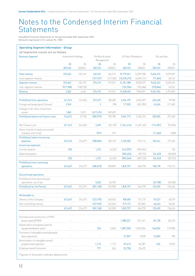(Amounts expressed in Sri Lankan Rs. '000) Unaudited Financial Statements for the period ended 30th September 2021

| <b>Operating Segment Information - Group</b>              |                     |            |                                 |            |                      |               |               |           |
|-----------------------------------------------------------|---------------------|------------|---------------------------------|------------|----------------------|---------------|---------------|-----------|
| (a) Segmental results are as follows:                     |                     |            |                                 |            |                      |               |               |           |
| <b>Business Segment</b>                                   | Investment Holdings |            | Portfolio & Asset<br>Management |            | Oil Palm Plantations |               | Oils and fats |           |
|                                                           | 2Q                  | 2Q         | 2Q                              | 2Q         | 2Q                   | 2Q            | 2Q            | 2Q        |
|                                                           | 2021/22             | 2020/21    | 2021/22                         | 2020/21    | 2021/22              | 2020/21       | 2021/22       | 2020/21   |
| <b>Total revenue</b>                                      | 574,042             | 165,149    | 432,242                         | 346,913    | 29,779,661           | 14,099,708    | 9,694,472     | 5,579,307 |
| Intra segment revenue                                     | $\sim$              |            | (157, 927)                      | (127, 382) | (15,078,273)         | (6,049,131)   | (71, 840)     | 60,167    |
| Segment revenue                                           | 574,042             | 165,149    | 274,315                         | 219,531    | 14,701,388           | 8,050,577     | 9,622,632     | 5,639,474 |
| Inter segment revenue                                     | (571,980)           | (158, 725) |                                 |            | (152, 906)           | (153,686)     | [278, 866]    | 62,351    |
| Revenue                                                   | 2,062               | 6,424      | 274,315                         | 219,531    | 14,548,482           | 7,896,891     | 9,343,766     | 5,701,825 |
|                                                           |                     |            |                                 |            |                      |               |               |           |
| Profit/(loss) from operations                             | [21, 261]           | [14,963]   | 227,479                         | 180,385    | 3,944,199            | 2,832,059     | 265,428       | 79,958    |
| Foreign exchange gains/ (losses)                          | 2,945               |            | 3                               | (98)       | 117,520              | (625, 783)    | 43,654        | 211,482   |
| Change in fair value of business                          |                     |            |                                 |            |                      |               |               |           |
| assets                                                    | 1,865               | 5,231      | (617, 474)                      | 549,493    |                      |               |               | $\sim$    |
| Profit/(loss) before net finance costs                    | (16, 451)           | (9, 732)   | (389,992)                       | 729,780    | 4,061,719            | 2,206,276     | 309,082       | 291,440   |
|                                                           |                     |            |                                 |            |                      |               |               |           |
| Net Finance cost                                          | (31, 161)           | (64, 945)  | 2,499                           | (25, 170)  | (1, 341, 416)        | (1, 232, 162) | (114,981)     | (93, 396) |
| Share of profit of equity accounted                       |                     |            |                                 |            |                      |               |               |           |
| investee, (net of tax)<br>Profit/(loss) before Income tax |                     |            | (591)                           | 519        |                      |               | (11,660)      | (608)     |
| expenses                                                  | [47,612]            | [74,677]   | (388, 084)                      | 705,129    | 2,720,303            | 974,114       | 182,441       | 197,436   |
| Income tax expenses                                       |                     |            |                                 |            |                      |               |               |           |
| Current taxation                                          | (35)                |            | 1,274                           | [6, 234]   | (612,092)            | (509, 364)    |               | 106       |
| Deferred taxation                                         | $\sim$              |            |                                 |            | (282, 454)           | (99, 772)     | [24, 243]     | (20, 830) |
|                                                           | (35)                | $\sim$     | 1,274                           | [6, 234]   | [894, 546]           | (609, 136)    | [24, 243]     | [20, 724] |
| Profit/(loss) from continuing                             |                     |            |                                 |            |                      |               |               |           |
| operations                                                | (47, 647)           | [74, 677]  | (386, 810)                      | 698,895    | 1,825,757            | 364,978       | 158,198       | 176,712   |
|                                                           |                     |            |                                 |            |                      |               |               |           |
| <b>Discontinued operations</b>                            |                     |            |                                 |            |                      |               |               |           |
| Profit/(loss) from discontinued                           |                     |            |                                 |            |                      |               |               |           |
| operations, net of tax                                    | $\sim$              |            | 5,062                           | 63,703     | $\sim$               |               | (32, 708)     | [20, 286] |
| Profit/(loss) for the Period                              | (47, 647)           | [74,677]   | (381, 748)                      | 762,598    | 1,825,757            | 364,978       | 125,490       | 156,426   |
|                                                           |                     |            |                                 |            |                      |               |               |           |
| Attributable to:                                          |                     |            |                                 |            |                      |               |               |           |
| Owners of the Company                                     | (47, 647)           | [74,677]   | [223, 795]                      | 440,053    | 908,585              | 137,175       | 59,227        | 60,079    |
| Non controlling interest                                  | $\sim$              |            | (157, 953)                      | 322,545    | 917,172              | 227,803       | 66,263        | 96,347    |
|                                                           | (47, 647)           | [74, 677]  | (381, 748)                      | 762,598    | 1,825,757            | 364,978       | 125,490       | 156,426   |
|                                                           |                     |            |                                 |            |                      |               |               |           |
| Purchase and construction of PPE/                         |                     |            |                                 |            |                      |               |               |           |
| bearer plant/IP/ROV                                       |                     |            | $\sim$                          | $\sim$     | 1,288,221            | 314,141       | 49,128        | 65,613    |
| Depreciation of property, plant &                         |                     |            |                                 |            |                      |               |               |           |
| equipment/bearer plant                                    | $\sim$              |            | 326                             | 3,363      | 1,081,550            | 1,047,056     | 146,024       | 110,984   |
| Purchase of intangible assets/prepaid                     |                     |            |                                 |            |                      |               |               |           |
| lease payments                                            | $\sim$              | $\sim$     | $\sim$                          |            | 21,047               | 3,928         | 13,603        | 183       |
| Amortization of intangible assets/                        |                     |            |                                 |            |                      |               |               |           |
| prepaid lease payment                                     | $\sim$              | $\sim$     | 1,112                           | 1,112      | 67,613               | 66,581        | 624           | 8,523     |
| Employee benefit provision                                | $\sim$              | $\sim$     | 771                             | 624        | 52,758               | 35,675        | $\sim$        | $\sim$    |
|                                                           |                     |            |                                 |            |                      |               |               |           |
| Figures in brackets indicate deductions.                  |                     |            |                                 |            |                      |               |               |           |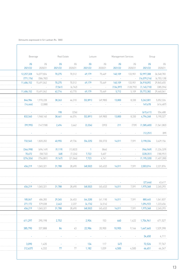| Beverage                                    |                | Real Estate              |                                                          | Leisure                         |                          | Management Services   |                          | Group                       |                                                                |
|---------------------------------------------|----------------|--------------------------|----------------------------------------------------------|---------------------------------|--------------------------|-----------------------|--------------------------|-----------------------------|----------------------------------------------------------------|
|                                             |                |                          |                                                          |                                 |                          |                       |                          |                             |                                                                |
| 2Q                                          | 2Q             | 2Q                       | 2Q                                                       | 2Q                              | 2Q                       | 2Q                    | 2Q                       | 2Q                          | 2Q                                                             |
| 2021/22                                     | 2020/21        | 2021/22                  | 2020/21                                                  | 2021/22                         | 2020/21                  | 2021/22               | 2020/21                  | 2021/22                     | 2020/21                                                        |
| 12,257,328                                  | 16,077,824     | 70,275                   | 70,512                                                   | 49,179                          | 75,469                   | 140,109               | 133,901                  | 52,997,308                  | 36,548,783                                                     |
| (771, 176)                                  | (586, 782)     | $\sim 10^{11}$ m $^{-1}$ | $\mathcal{L}^{\mathcal{L}}(\mathcal{L}^{\mathcal{L}})$ . | $\sim 10^{11}$ m $^{-1}$        | $\sim$ $-$               | $\sim 10^{-10}$       |                          | $ (16,079,216)$             | (6, 703, 128)                                                  |
| 11,486,152<br>and the state of the state of | 15,491,042     | 70,275<br>(7, 561)       | 70,512<br>[6, 742]                                       | 49,179<br>$\sim 100$ km $^{-1}$ | 75,469<br>$\sim$ $ \sim$ | 140,109<br>(134, 397) | 133,901<br>(128, 792)    | 36,918,092<br>(1, 145, 710) | 29,845,655<br>(385, 594)                                       |
| 11,486,152 15,491,042                       |                | 62,714                   | 63,770                                                   | 49,179                          | 75,469                   | 5,712                 |                          | 5,109 35,772,382            | 29,460,061                                                     |
|                                             |                |                          |                                                          |                                 |                          |                       |                          |                             |                                                                |
| 846,984                                     | 1,970,228      | 38,263                   | 46,310                                                   | (52, 891)                       | (49,980)                 | 13,800                | 8,330                    | 5,262,001                   | 5,052,326                                                      |
| (14, 444)                                   | (2,088)        | $\sim 100$               | $\sim 100$                                               | $\sim$                          | $\sim$                   | $\sim$ $ \sim$        | $\sim$ $-$               | 149,678                     | [416, 487]                                                     |
| $\sim 100$                                  | $\sim$ $-$     | 198                      | [236]                                                    | $\sim$                          | $\sim$ $ \sim$           | $\sim$                | $\sim$ $-$               | (615, 411)                  | 554,488                                                        |
| 832,540                                     | 1,968,140      | 38,461                   | 46,074                                                   | (52,891)                        | (49,980)                 | 13,800                | 8,330                    | 4,796,268                   | 5,190,327                                                      |
|                                             |                |                          |                                                          |                                 |                          |                       |                          |                             |                                                                |
| (99, 995)                                   | (147,938)      | 2,494                    | 3,662                                                    | (3, 334)                        | (393)                    | 211                   | [739]                    | (1,585,683)                 | (1, 561, 082)                                                  |
| $\sim$ $-$                                  | $\sim$         | $\sim$                   | $\sim$ $-$                                               | $\sim$ $-$                      | $\sim$ $-$               | $\sim$                | $\sim$ $-$               | (12, 251)                   | [89]                                                           |
|                                             |                |                          |                                                          |                                 |                          |                       |                          |                             |                                                                |
| 732,545                                     | 1,820,202      | 40,955                   | 49,736                                                   | (56, 225)                       | (50, 373)                | 14,011                | 7,591                    | 3,198,334                   | 3,629,156                                                      |
| (346,998)                                   | (696, 149)     | (9, 119)                 | (13, 822)                                                | $\sim$ 1                        | [866]                    | $\sim 10^{-1}$        | $\sim 10^{-10}$          | [966, 969]                  | [1, 226, 329]                                                  |
| 70,672                                      | (58, 732)      | (48)                     | (7, 224)                                                 | 7,722                           | 5,607                    | $\sim$ $-$            | $\sim$ $-$               | (228, 351)                  | (180, 951)                                                     |
| [276, 326]                                  | (754, 881)     | (9, 167)                 | [21,046]                                                 | 7,723                           | 4,741                    | $\sim 10$             | $\sim$ $-$               | (1, 195, 320)               | (1,407,280)                                                    |
| 456,219                                     | 1,065,321      | 31,788                   | 28,690                                                   | (48, 502)                       | (45,632)                 | 14,011                | 7,591                    | 2,003,014                   | 2,221,876                                                      |
|                                             |                |                          |                                                          |                                 |                          |                       |                          |                             |                                                                |
|                                             |                |                          |                                                          |                                 |                          |                       |                          |                             |                                                                |
|                                             | $\sim$         | $\sim$                   |                                                          | $\sim$                          | $\sim$                   | $\sim$                | $\sim$ $-$               | [27,646]                    | 43,417                                                         |
| 456,219                                     | 1,065,321      | 31,788                   | 28,690                                                   | (48, 502)                       | (45,632)                 | 14,011                | 7,591                    | 1,975,368                   | 2,265,293                                                      |
|                                             |                |                          |                                                          |                                 |                          |                       |                          |                             |                                                                |
|                                             |                |                          |                                                          |                                 |                          |                       |                          |                             |                                                                |
| 185,047<br>271,172                          | 486,283        | 29,345                   | 26,453                                                   | (44, 328)                       | (41, 118)                | 14,011                | 7,591                    | 880,445                     | 1,041,837                                                      |
|                                             | 579,038        | 2,443                    | 2,237                                                    | [4, 174]                        | [4,514]                  | $\sim$ $-$            | $\sim$ $-$               | 1,094,923<br>1,975,368      | 1,223,456                                                      |
|                                             |                |                          |                                                          |                                 |                          |                       |                          |                             |                                                                |
| 456,219                                     | 1,065,321      | 31,788                   | 28,690                                                   | (48, 502)                       | (45,632)                 | 14,011                | 7,591                    |                             |                                                                |
|                                             |                |                          |                                                          |                                 |                          |                       |                          |                             |                                                                |
| 411,297                                     | 290,198        | 2,752                    | $\sim$                                                   | 2,904                           | 153                      | 660                   |                          | 1,422 1,754,961             |                                                                |
| 385,790                                     | 337,888        | 84                       | 43                                                       | 22,986                          | 20,900                   | 10,905                |                          | 9,164 1,647,665             |                                                                |
| $\sim$ $ \sim$                              | $\sim$         | $\sim$                   |                                                          | $\sim$                          | $\sim$                   | $\sim$                | $\sim$ $-$               |                             |                                                                |
|                                             |                |                          |                                                          |                                 |                          |                       |                          | 34,650                      |                                                                |
| 3,090<br>(12,637)                           | 1,435<br>4,332 | $\sim$<br>77             | $-$<br>77                                                | 134<br>1,182                    | 117<br>1,039             | (47)<br>4,500         | $\sim 10^{-10}$<br>4,500 | 72,526<br>46,651            | 2,265,293<br>671,527<br>1,529,398<br>4,111<br>77,767<br>46,247 |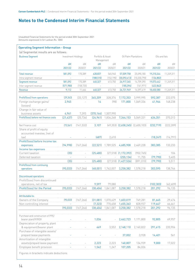(Amounts expressed in Sri Lankan Rs. '000) Unaudited Financial Statements for the period ended 30th September 2021

| <b>Operating Segment Information - Group</b>         |                     |               |                                 |                |                             |                                        |               |               |
|------------------------------------------------------|---------------------|---------------|---------------------------------|----------------|-----------------------------|----------------------------------------|---------------|---------------|
| (a) Segmental results are as follows:                |                     |               |                                 |                |                             |                                        |               |               |
| <b>Business Segment</b>                              | Investment Holdings |               | Portfolio & Asset<br>Management |                |                             | Oil Palm Plantations                   | Oils and fats |               |
|                                                      | 6M<br>2021/22       | 6M<br>2020/21 | 6M<br>2021/22                   | 6M<br>2020/21  | 6M<br>2021/22               | 6M<br>2020/21                          | 6M<br>2021/22 | 6M<br>2020/21 |
| <b>Total revenue</b>                                 | 581,092             | 170,389       | 628,837                         | 565,940        | 57,009,758                  | 25,090,180                             | 19,210,244    | 11,249,311    |
| Intra segment revenue                                |                     |               | (188, 510)                      | (152, 190)     | [30,092,413]                | (10, 330, 790)                         | (136, 802)    | $\sim$        |
| Segment revenue                                      | 581,092             | 170,389       | 440,327                         | 413,750        | 26,917,345                  | 14,759,390                             | 19,073,442    | 11,249,311    |
| Inter segment revenue                                | (571,980)           | (158, 725)    | $\sim$                          |                | (185, 396)                  | [161, 971]                             | [422,862]     | $\sim$        |
| Revenue                                              | 9,112               | 11,664        | 440,327                         | 413,750        | 26,731,949                  | 14,597,419                             | 18,650,580    | 11,249,311    |
| Profit/(loss) from operations                        | [29, 343]           | [33, 127]     | 345,209                         | 328,376        | 7,172,353                   | 3,999,995                              | 592,387       | 222,075       |
| Foreign exchange gains/                              | 2,945               |               | 14                              | (98)           | 171,800                     | 1,069,336                              | 41,964        | 148,238       |
| (losses)                                             |                     |               |                                 |                |                             |                                        |               |               |
| Change in fair value of                              |                     |               |                                 |                |                             |                                        |               |               |
| business assets                                      | 4,961               | 7,393         | (370, 164)                      | 1,507,990      |                             |                                        |               | $\sim$        |
| Profit/(loss) before net finance costs               | [21, 437]           | (25, 734)     | (24, 941)                       | 1,836,268      | 7,344,153                   | 5,069,331                              | 634,351       | 370,313       |
| Net Finance cost                                     | (73, 561)           | (141, 532)    | 3,107                           |                |                             | $(49,353)$ $(2,658,245)$ $(2,600,103)$ | (232, 719)    | [222, 289]    |
| Share of profit of equity                            |                     |               |                                 |                |                             |                                        |               |               |
| accounted investee, (net of                          |                     |               |                                 |                |                             |                                        |               |               |
| tax)                                                 |                     |               | (687)                           | 2,610          | $\sim$                      |                                        | (18, 247)     | (14, 791)     |
| Profit/(loss) before Income tax                      |                     |               |                                 |                |                             |                                        |               |               |
| expenses                                             | (94, 998)           | (167, 266)    | (22, 521)                       | 1,789,525      | 4,685,908                   | 2,469,228                              | 383,385       | 133,233       |
| Income tax expenses                                  |                     |               |                                 |                |                             |                                        |               |               |
| Current taxation                                     | (35)                |               | (25, 480)                       |                | $(27, 518)$ $(1, 172, 392)$ | (902, 765)                             | $\sim$        | 106           |
| Deferred taxation                                    | $\sim$              |               | $\sim$                          |                | (255, 134)                  | 11,755                                 | (79, 790)     | 5,405         |
|                                                      | (35)                |               | (25, 480)                       |                | $(27, 518)$ $(1, 427, 526)$ | (891, 010)                             | (79, 790)     | 5,511         |
| Profit/(loss) from continuing                        |                     |               |                                 |                |                             |                                        |               |               |
| operations                                           | (95, 033)           | [167, 266]    | (48,001)                        | 1,762,007      | 3,258,382                   | 1,578,218                              | 303,595       | 138,744       |
|                                                      |                     |               |                                 |                |                             |                                        |               |               |
| <b>Discontinued operations</b>                       |                     |               |                                 |                |                             |                                        |               |               |
| Profit/(loss) from discontinued                      |                     |               |                                 |                |                             |                                        |               |               |
| operations, net of tax                               |                     |               | 9,597                           | 79,080         | $\sim$                      |                                        | (102, 303)    | [42,609]      |
| Profit/(loss) for the Period                         | (95, 033)           | (167, 266)    | (38, 404)                       | 1,841,087      | 3,258,382                   | 1,578,218                              | 201,292       | 96,135        |
|                                                      |                     |               |                                 |                |                             |                                        |               |               |
| Attributable to:                                     |                     |               |                                 |                |                             |                                        |               |               |
| Owners of the Company                                | (95, 033)           | (167, 266)    | (31,081)                        | 1,070,629      | 1,603,019                   | 749,281                                | 81,645        | 29,474        |
| Non controlling interest                             | $\sim$              |               | (7, 323)                        | 770,458        | 1,655,363                   | 828,937                                | 119,647       | 66,661        |
|                                                      | (95, 033)           | (167, 266)    | (38, 404)                       | 1,841,087      | 3,258,382                   | 1,578,218                              | 201,292       | 96,135        |
| Purchase and construction of PPE/                    |                     |               |                                 |                |                             |                                        |               |               |
| bearer plant/IP/ROV                                  | <b>Contract</b>     | $\sim$        | 1,036                           |                | $-2,462,723$                | 1,171,800                              | 92,805        | 69,957        |
| Depreciation of property, plant                      |                     |               |                                 |                |                             |                                        |               |               |
| & equipment/bearer plant                             |                     |               | 669                             | 3,552          |                             | 2,148,110 2,160,822                    | 291,615       | 220,906       |
| Purchase of intangible assets/                       |                     |               |                                 |                |                             |                                        |               |               |
|                                                      |                     |               |                                 |                | 37,002                      |                                        | 14,401        | 561           |
| prepaid lease payments<br>Amortization of intangible | $\sim$              |               | $\sim$                          |                |                             | 3,928                                  |               |               |
|                                                      |                     |               |                                 |                |                             |                                        |               |               |
| assets/prepaid lease payment                         |                     |               | 2,223<br>1,542                  | 2,223<br>1,247 | 140,807<br>107,205          | 134,939<br>84,026                      | 9,000         | 17,022        |
| Employee benefit provision                           | $\sim$              | $\sim$        |                                 |                |                             |                                        |               |               |
| Figures in brackets indicate deductions.             |                     |               |                                 |                |                             |                                        |               |               |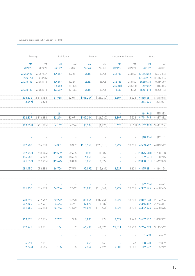(Amounts expressed in Sri Lankan Rs. '000)

|                                                   |                      | Real Estate              |                                                       |                              |                         |                         |                          |                                                          |                          |
|---------------------------------------------------|----------------------|--------------------------|-------------------------------------------------------|------------------------------|-------------------------|-------------------------|--------------------------|----------------------------------------------------------|--------------------------|
| Beverage                                          |                      |                          |                                                       | Leisure                      |                         | Management Services     |                          | Group                                                    |                          |
| 6M                                                | 6M                   | 6M                       | 6M                                                    | 6M                           | 6M                      | 6M                      | 6M                       | 6M                                                       | 6M                       |
| 2021/22                                           | 2020/21              | 2021/22                  | 2020/21                                               | 2021/22                      | 2020/21                 | 2021/22                 | 2020/21                  | 2021/22                                                  | 2020/21                  |
| 23,255,924                                        | 22,757,547           | 139,857                  | 133,541                                               | 105,157                      | 88,905                  | 262,783                 |                          | 260,860 101,193,652                                      | 60,316,673               |
| (925, 192)                                        | (673,934)            | $\sim 10^{11}$ m $^{-1}$ | $\mathcal{L}_{\rm{max}}$ and $\mathcal{L}_{\rm{max}}$ | $\sim 10^{11}$ m $^{-1}$     | $\sim 10^{-10}$         | $\sim 100$ km s $^{-1}$ |                          | $-$ (31,342,917) (11,156,914)                            |                          |
| 22,330,732                                        | 22,083,613           | 139,857                  | 133,541<br>(11,675)                                   | 105,157                      | 88,905                  | 262,783<br>(254, 331)   | 260,860<br>(252, 215)    | 69,850,735<br>(1,449,657)                                | 49,159,759<br>(584, 586) |
| <b>Contract Contract</b><br>22,330,732 22,083,613 | $\sim$ $-$           | (15,088)<br>124,769      | 121,866                                               | <b>Contractor</b><br>105,157 | 88,905                  | 8,452                   | 8,645                    | 68,401,078                                               | 48,575,173               |
|                                                   |                      |                          |                                                       |                              |                         |                         |                          |                                                          |                          |
| 1,805,534                                         | 2,210,158            | 81,958                   | 82,091                                                | (105, 244)                   | (126, 742)              | 2,807                   | 15,222                   | 9,865,661                                                | 6,698,048                |
| [2,697]                                           | 6,525                | $\sim$ $-$               |                                                       | $\sim$                       | $\sim$                  | <b>Contract</b>         | $\sim$                   |                                                          | 214,026 1,224,001        |
|                                                   |                      |                          |                                                       |                              |                         |                         |                          |                                                          |                          |
| $\sim$ $-$                                        | $\sim$               | 261                      |                                                       | $\sim$                       | $\sim$                  | $\sim$                  | $\sim$                   | $(364, 942)$ 1,515,383                                   |                          |
| 1,802,837 2,216,683                               |                      | 82,219                   | 82,091                                                | (105, 244)                   | (126, 742)              | 2,807                   |                          |                                                          |                          |
|                                                   |                      |                          |                                                       |                              |                         |                         |                          |                                                          |                          |
| (199, 857)                                        | (401, 885)           | 4,162                    | 6,296                                                 | (5,706)                      | (1, 276)                | 420                     |                          | $(1,591)$ $(3,162,399)$ $(3,411,734)$                    |                          |
|                                                   |                      |                          |                                                       |                              |                         |                         |                          |                                                          |                          |
| $\sim$                                            | $\sim$               | $\sim$                   |                                                       |                              | $\sim$                  | $\sim$                  | $\sim$                   | (18, 934)                                                | (12, 181)                |
|                                                   |                      |                          |                                                       |                              |                         |                         |                          |                                                          |                          |
| 1,602,980 1,814,798                               |                      | 86,381                   | 88,387                                                | (110, 950)                   | (128, 018)              | 3,227                   |                          | 13,631  6,533,412  6,013,517                             |                          |
|                                                   |                      |                          |                                                       |                              |                         |                         |                          |                                                          |                          |
| (657, 736)                                        | (753, 944)           | (19, 502)                | (22, 405)                                             | (395)                        | (1, 582)                | $\sim$ $-$              |                          | $-$ (1,875,540) (1,708,108)                              |                          |
| 136,206                                           | 34,029<br>(719, 915) | (123)<br>(19,625)        | [8,433]<br>(30, 838)                                  | 16,250<br>15,855             | 15,959<br>14,377        | $\sim$                  |                          | $-$ (182,591)                                            | 58,715                   |
| (521, 530)                                        |                      |                          |                                                       |                              |                         | $\sim$ $ \sim$          |                          | $-$ (2,058,131) (1,649,393)                              |                          |
| 1,081,450 1,094,883                               |                      | 66,756                   | 57,549                                                | (95, 095)                    | (113, 641)              | 3,227                   |                          | 13,631  4,475,281  4,364,124                             |                          |
|                                                   |                      |                          |                                                       |                              |                         |                         |                          |                                                          |                          |
|                                                   |                      |                          |                                                       |                              |                         |                         |                          |                                                          |                          |
|                                                   | $\sim$               |                          |                                                       |                              |                         | $\sim$                  |                          | (92, 706)                                                | 36,471                   |
| 1,081,450 1,094,883                               |                      | 66,756                   | 57,549                                                | (95, 095)                    | (113, 641)              | 3,227                   |                          | 13,631  4,382,575  4,400,595                             |                          |
|                                                   |                      |                          |                                                       |                              |                         |                         |                          |                                                          |                          |
|                                                   |                      |                          |                                                       |                              |                         |                         |                          |                                                          |                          |
| 478,690<br>602,760                                | 487,462<br>607,421   | 62,292<br>4,464          | 53,298<br>4,251                                       | (85, 566)<br>(9,529)         | (102, 254)<br>(11, 387) | 3,227<br>$\sim$ $-$     |                          | 13,631  2,017,193  2,134,254<br>$-2,365,382$ $2,266,341$ |                          |
| 1,081,450 1,094,883                               |                      | 66,756                   | 57,549                                                | (95, 095)                    | (113, 641)              | 3,227                   |                          | 13,631  4,382,575  4,400,595                             |                          |
|                                                   |                      |                          |                                                       |                              |                         |                         |                          |                                                          |                          |
|                                                   |                      |                          |                                                       |                              |                         |                         |                          |                                                          |                          |
| 919,875 602,835                                   |                      | 2,752                    | 300                                                   | 5,883                        | 229                     | 2,429                   |                          | 3,248 3,487,502 1,848,369                                |                          |
|                                                   | 757,946 670,091      | 144                      | 89                                                    | 46,498                       | 41,896                  | 21,811                  |                          | 18,213 3,266,793 3,115,569                               |                          |
|                                                   |                      |                          |                                                       |                              |                         |                         |                          |                                                          |                          |
|                                                   |                      |                          |                                                       |                              |                         |                         |                          |                                                          |                          |
|                                                   |                      | $\sim$                   | $-$                                                   | $\sim$                       | $\sim$                  | $\sim$                  | $\alpha_{\rm{max}}=0.01$ | 51,403                                                   | 4,489                    |
|                                                   |                      |                          |                                                       |                              |                         |                         |                          |                                                          |                          |
| 6,291<br>(7,669)                                  | 2,911<br>8,665       | $\sim$ $ \sim$<br>155    | $-$<br>155                                            | 269<br>2,364                 | 168<br>2,126            | $\sim$ $-$<br>9,000     | 47<br>9,000              | 158,590<br>112,597                                       | 157,309<br>105,219       |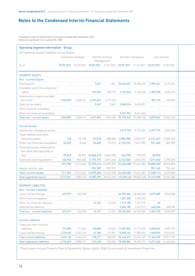(Amounts expressed in Sri Lankan Rs. '000) Unaudited Financial Statements for the period ended 30th September 2021

|                                                  | <b>Operating Segment Information - Group</b> |                       |            |                                 |                                                                  |                      |                                                                               |                          |
|--------------------------------------------------|----------------------------------------------|-----------------------|------------|---------------------------------|------------------------------------------------------------------|----------------------|-------------------------------------------------------------------------------|--------------------------|
| (b) Segments Assets/ liabilities are as follows: |                                              |                       |            |                                 |                                                                  |                      |                                                                               |                          |
|                                                  | Investment Holdings                          |                       |            | Portfolio & Asset<br>Management |                                                                  | Oil Palm Plantations | Oils and fats                                                                 |                          |
| As at                                            |                                              | 30.09.2021 31.03.2021 |            |                                 |                                                                  |                      | 30.09.2021 31.03.2021 30.09.2021 31.03.2021 30.09.2021 31.03.2021             |                          |
| <b>SEGMENT ASSETS</b>                            |                                              |                       |            |                                 |                                                                  |                      |                                                                               |                          |
| <b>Non - Current Assets</b>                      |                                              |                       |            |                                 |                                                                  |                      |                                                                               |                          |
| Fixed assets*                                    |                                              |                       | 7,047      |                                 | 2,541 70,676,367 70,358,475                                      |                      |                                                                               | 7,999,361 8,179,474      |
| Intangible assets (Including land                |                                              |                       |            |                                 |                                                                  |                      |                                                                               |                          |
| rights)                                          |                                              |                       | 187,555    | 189,779                         | 7,132,563                                                        | 7,130,748            | 1,289,290                                                                     | 1,276,476                |
| Investments in equity and debt                   |                                              |                       |            |                                 |                                                                  |                      |                                                                               |                          |
| securities                                       | 1,945,859                                    | 2,068,161             | 6,394,847  | 6,791,633                       | $\sim$                                                           |                      | 587,193                                                                       | 606,683                  |
| Deferred tax assets                              |                                              |                       | 2,447      | 2,447                           | 3,368,016                                                        | 3,450,091            |                                                                               |                          |
| Other financial receivables                      |                                              |                       |            |                                 |                                                                  |                      |                                                                               |                          |
| Other non financial receivables                  |                                              |                       |            |                                 | 9,601,994                                                        | 9,441,434            |                                                                               |                          |
| Total non - current assets                       | 1,945,859                                    | 2,068,161             | 6,591,896  |                                 | 6,986,400 90,778,940 90,380,748                                  |                      |                                                                               | 9,875,844 10,062,633     |
|                                                  |                                              |                       |            |                                 |                                                                  |                      |                                                                               |                          |
| <b>Current Assets</b>                            |                                              |                       |            |                                 |                                                                  |                      |                                                                               |                          |
| Inventories / biological assets                  |                                              |                       |            |                                 | 6,213,730                                                        | 5,176,264            | 4,597,776                                                                     | 3,656,568                |
| Trade debtors and other                          |                                              |                       |            |                                 |                                                                  |                      |                                                                               |                          |
| financial assets                                 | 126                                          | 10,158                | 37,518     | 208,388                         | 2,896,985                                                        | 2,559,377            | 4,121,347                                                                     | 3,259,162                |
| Other non financial receivables                  | 10,337                                       | 8,364                 | 25,487     |                                 | 77,215 6,132,274                                                 | 7,471,993            | 741,460                                                                       | 309,909                  |
| Financial assets measured at                     |                                              |                       |            |                                 |                                                                  |                      |                                                                               |                          |
| fair value through profit or                     |                                              |                       |            |                                 |                                                                  |                      |                                                                               |                          |
| loss                                             | 95,543                                       | 90,581                | 10,066,418 | 9,862,924                       | 464,990                                                          | 190,596              | 58,903                                                                        | $\overline{\phantom{a}}$ |
| Cash and cash equivalents                        | 165,946                                      | 903,460               | 2,170,193  | 2,491,466                       | 6,722,504                                                        | 4,063,252            | 1,317,463                                                                     | 1,390,255                |
|                                                  | 271,952                                      |                       |            |                                 | 1,012,563 12,299,616 12,639,993 22,430,483 19,461,482 10,836,949 |                      |                                                                               | 8,615,894                |
| Assets held for sale                             |                                              |                       | 795,787    | 787,937                         |                                                                  |                      | 701,165                                                                       | 723,161                  |
| Total current assets                             | 271,952                                      |                       |            |                                 | 1,012,563 13,095,403 13,427,930 22,430,483 19,461,482 11,538,114 |                      |                                                                               | 9,339,055                |
| Total segmental assets                           | 2,217,811                                    |                       |            |                                 |                                                                  |                      | 3,080,724 19,687,299 20,414,330 113,209,423 109,842,230 21,413,958 19,401,688 |                          |
|                                                  |                                              |                       |            |                                 |                                                                  |                      |                                                                               |                          |
| <b>SEGMENT LIABILITIES</b>                       |                                              |                       |            |                                 |                                                                  |                      |                                                                               |                          |
| Non - Current Liabilities                        |                                              |                       |            |                                 |                                                                  |                      |                                                                               |                          |
| Loans and borrowings                             | 672,917                                      | 343,750               |            |                                 | $-46,999,406$                                                    | 48,300,400           | 2,679,489                                                                     | 2,960,308                |
| Other financial payables                         |                                              |                       |            |                                 | 1,281,300                                                        | 1,924,535            |                                                                               |                          |
| Other non financial liabilities                  | $\sim$                                       |                       | 14,157     | 12,615                          | 1,319,183                                                        | 1,272,218            | 36                                                                            |                          |
| Deferred tax liabilities                         |                                              |                       |            |                                 | 3,604,180                                                        | 3,431,912            | 645,204                                                                       | 568,289                  |
| Total non - current liabilities                  | 672,917                                      | 343,750               | 14,157     |                                 | 12,615 53,204,069 54,929,065                                     |                      | 3,324,729                                                                     | 3,528,597                |
|                                                  |                                              |                       |            |                                 |                                                                  |                      |                                                                               |                          |
| <b>Current Liabilities</b>                       |                                              |                       |            |                                 |                                                                  |                      |                                                                               |                          |
| Trade and other financial                        |                                              |                       |            |                                 |                                                                  |                      |                                                                               |                          |
|                                                  | 214,800                                      | 211,249               | 130,885    |                                 | 110,518 11,307,853 11,711,676                                    |                      | 3,698,049                                                                     | 2,407,107                |
| liabilities                                      |                                              |                       |            |                                 |                                                                  |                      | 7,648,876                                                                     | 8,510,662                |
| Loans and borrowings                             | 1,218,332                                    | 2,433,178             | 67,386     | 217,831                         | 13,838,162 11,982,433                                            |                      |                                                                               |                          |
| <b>Total current liabilities</b>                 | 1,433,132                                    | 2,644,427             | 198,271    |                                 |                                                                  |                      | 328,349 25,146,015 23,694,109 11,346,925 10,917,769                           |                          |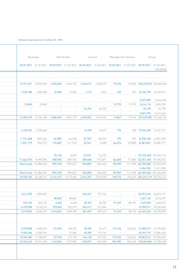| 30.09.2021 31.03.2021 30.09.2021 31.03.2021 30.09.2021 31.03.2021 30.09.2021 31.03.2021 30.09.2021 31.03.2021<br>57,635<br>2,306,999<br>52,896 105,293,522 105,050,348<br>1,344<br>530 10,166,795 10,160,941<br>439<br>$-8,927,899$<br>$\sim 10^{-1}$<br>$\sim$ $-$<br>19,792 3,414,116<br>19,793<br>$\sim$<br>24,759<br>$\sim$<br>$\sim$<br>$-9,601,994$ $9,441,434$<br>$\sim$ $-$<br>$\sim$ $-$<br>73,218 137,429,085 137,640,150<br>2,333,102<br>77,867<br>18,515<br>176<br>108 15,546,283 12,637,121 |
|----------------------------------------------------------------------------------------------------------------------------------------------------------------------------------------------------------------------------------------------------------------------------------------------------------------------------------------------------------------------------------------------------------------------------------------------------------------------------------------------------------|
|                                                                                                                                                                                                                                                                                                                                                                                                                                                                                                          |
|                                                                                                                                                                                                                                                                                                                                                                                                                                                                                                          |
|                                                                                                                                                                                                                                                                                                                                                                                                                                                                                                          |
|                                                                                                                                                                                                                                                                                                                                                                                                                                                                                                          |
|                                                                                                                                                                                                                                                                                                                                                                                                                                                                                                          |
|                                                                                                                                                                                                                                                                                                                                                                                                                                                                                                          |
|                                                                                                                                                                                                                                                                                                                                                                                                                                                                                                          |
|                                                                                                                                                                                                                                                                                                                                                                                                                                                                                                          |
| 28,549<br>192<br>192 8,278,185 6,967,490                                                                                                                                                                                                                                                                                                                                                                                                                                                                 |
| 5,628<br>39,583 8,381,861 8,986,917<br>44,476                                                                                                                                                                                                                                                                                                                                                                                                                                                            |
|                                                                                                                                                                                                                                                                                                                                                                                                                                                                                                          |
| 16,270<br>$-10,732,448$ 10,165,714<br>$\alpha$ , $\beta$ , $\alpha$ , $\beta$<br>137,691<br>71,306 22,351,305 19,165,722<br>46,065                                                                                                                                                                                                                                                                                                                                                                       |
| 111,189 65,290,082 57,922,964<br>206,653<br>90,909                                                                                                                                                                                                                                                                                                                                                                                                                                                       |
| $- 1,496,952$ 1,511,098<br><b>Contractor</b><br>$\sim 10^{-10}$ m $^{-1}$                                                                                                                                                                                                                                                                                                                                                                                                                                |
| 111,189 66,787,034 59,434,062<br>206,653<br>90,909                                                                                                                                                                                                                                                                                                                                                                                                                                                       |
| 2,539,755<br>168,776<br>184,407 204,216,119 197,074,212                                                                                                                                                                                                                                                                                                                                                                                                                                                  |
|                                                                                                                                                                                                                                                                                                                                                                                                                                                                                                          |
| 137,166<br>$-53,012,694$ $54,822,111$<br>$\sim 10^{-1}$<br>$- 1,367,162$ 2,013,397<br>the second control of the second control of                                                                                                                                                                                                                                                                                                                                                                        |
| 28,783<br>91,629<br>88,193 1,692,559 1,649,427                                                                                                                                                                                                                                                                                                                                                                                                                                                           |
| 221,666<br>$-10,350,911$ $10,254,060$<br>$\mathcal{L}(\mathcal{A})$ , $\mathcal{A}(\mathcal{A})$                                                                                                                                                                                                                                                                                                                                                                                                         |
| 88,193 66,423,326 68,738,995<br>387,615<br>91,629                                                                                                                                                                                                                                                                                                                                                                                                                                                        |
|                                                                                                                                                                                                                                                                                                                                                                                                                                                                                                          |
| 94,617<br>113,156<br>136,436 21,050,317 21,370,052                                                                                                                                                                                                                                                                                                                                                                                                                                                       |
| 119,136<br>$-32,793,197$ 27,884,640<br>$\mathcal{L}(\mathcal{L})$ and $\mathcal{L}(\mathcal{L})$                                                                                                                                                                                                                                                                                                                                                                                                         |
| 136,436 53,843,514 49,254,692<br>213,753<br>113,156<br>601,368<br>204,785<br>224,629 120,266,840 117,993,687                                                                                                                                                                                                                                                                                                                                                                                             |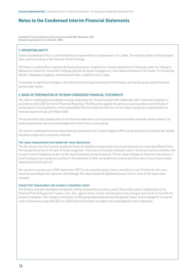(Amounts expressed in Sri Lankan Rs. '000) Unaudited Financial Statements for the period ended 30th September 2021

### 1. REPORTING ENTITY

Carson Cumberbatch PLC is a limited liability company which is incorporated in Sri Lanka. The ordinary shares of the Company have a primary listing on the Colombo Stock Exchange.

The Group is a diversified conglomerate having businesses ranging from oil palm plantations in Indonesia, palm oil refining in Malaysia to breweries, investment holdings, portfolio & assets management, real estate and leisure in Sri Lanka. The Group has offices in Malaysia, Singapore, Indonesia and India, in addition to Sri Lanka.

There were no significant changes in the nature of the principal activities of the Company and the Group during the financial period under review.

## 2. BASIS OF PREPARATION OF INTERIM CONDENSED FINANCIAL STATEMENTS

The interim condensed consolidated financial statements for the period ended 30th September 2021 have been prepared in accordance with LKAS 34 Interim Financial Reporting. The Group has applied the same accounting policies and methods of computation in the preparation of the consolidated financial statements for the current reporting period compared with the financial statements as at 31 March 2021.

The presentation and classification of the financial statements of the previous period have been amended, where relevant, for better presentation and to be comparable with those of the current period.

The interim condensed financial statements are presented in Sri Lankan Rupees (LKR) and all values are rounded to the nearest thousand except when otherwise indicated.

#### Fair value measurement and related fair value disclosures

The fair values of all the financial assets and financial liabilities recognised during the period were not materially different from the transaction prices at the date of initial recognition. There were no transfers between Level 1 and Level 2 and no transfers into or out of Level 3 categories as per the fair value hierarchy, during the period. The fair value changes on financial instruments in Level 3 category were properly recorded in the statement of other comprehensive income and there were no purchases and/or disposals during the period.

Fair valuation was done as of 30th September 2021 for all unquoted equity shares classified as Level 3 within the fair value hierarchy according to fair valuation methodology. Fair value would not significantly vary if one or more of the inputs were changed.

#### Impact from Depreciation rate revision in plantation sector

The Group's upstream plantation companies, having reviewed the economic useful life periods used for depreciation of its Property, Plant & Equipment classes, inter-alia, against those used by industry peers have changed same to be in line with the industry standards. This change in estimation is effected prospectively and accordingly the impact of this change for the period under review amounting to Rs.527 mn (USD 2.63 mn) has been included in the consolidated income statement.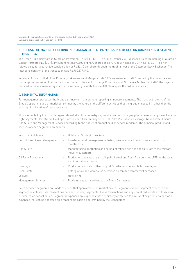(Amounts expressed in Sri Lankan Rs. '000) Unaudited Financial Statements for the period ended 30th September 2021

## 3. DISPOSAL OF MAJORITY HOLDING IN GUARDIAN CAPITAL PARTNERS PLC BY CEYLON GUARDIAN INVESTMENT TRUST PLC

The Group Subsidiary Ceylon Guardian Investment Trust PLC (CGIT), on 28th October 2021, disposed its entire holding of Guardian Capital Partners PLC (GCP), amounting to 21,692,800 ordinary shares or 83.97% equity stake of GCP held by CGIT to a nonrelated party, for a purchase consideration of Rs.32.30 per share through the trading floor of the Colombo Stock Exchange. The total consideration of the transaction was Rs.700,677,440.

In terms of Rule 31(1)(a) of the Company Take-overs and Mergers code 1995 (as amended in 2003) issued by the Securities and Exchange commission of Sri Lanka under the Securities and Exchange Commission of Sri Lanka Act No. 19 of 2021 the buyer is required to make a mandatory offer to the remaining shareholders of GCP to acquire the ordinary shares.

## 4. SEGMENTAL INFORMATION

For management purposes the Group's primary format segment reporting is Industry segments. The risks and returns of the Group's operations are primarily determined by the nature of the different activities that the group engages in, rather than the geographical location of these operations.

This is reflected by the Group's organizational structure. Industry segment activities of the group have been broadly classified into eight segments: Investment Holdings, Portfolio and Asset Management, Oil Palm Plantations, Beverage, Real-Estate, Leisure, Oils & Fats and Management Services according to the nature of product sold or service rendered. The principal product and services of each segments are follows.

| Investment Holdings            |                          | - Holding of Strategic Investments                                                                                     |
|--------------------------------|--------------------------|------------------------------------------------------------------------------------------------------------------------|
| Portfolio and Asset Management | $\sim$                   | Investment and management of listed, private equity, fixed income and unit trust<br>investments                        |
| Oils & Fats                    | $ \,$                    | Manufacturing, marketing and selling of refined oils and specialty fats to the relevant<br>industry customers.         |
| Oil Palm Plantations           |                          | - Production and sale of palm oil, palm kernel and fresh fruit bunches (FFB) to the local<br>and international market. |
| Beverage                       |                          | - Production and sale of Beer, import & distribution of alcoholic beverages.                                           |
| Real Estate                    | $\sim$                   | Letting office and warehouse premises on rent for commercial purposes.                                                 |
| Leisure                        | $\sim$                   | Hoteliering.                                                                                                           |
| <b>Management Services</b>     | $\overline{\phantom{a}}$ | Providing support services to the Group Companies.                                                                     |

Sales between segments are made at prices that approximate the market prices. Segment revenue, segment expenses and segment results include transactions between industry segments. These transactions and any unrealized profits and losses are eliminated on consolidation. Segmental expenses are expenses that are directly attributed to a relevant segment or a portion of expenses that can be allocated on a reasonable basis as determined by the Management.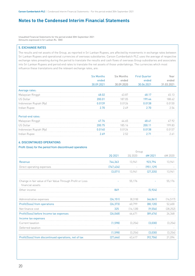(Amounts expressed in Sri Lankan Rs. '000) Unaudited Financial Statements for the period ended 30th September 2021

## 5. EXCHANGE RATES

The results and net assets of the Group, as reported in Sri Lankan Rupees, are affected by movements in exchange rates between Sri Lankan Rupees and operational currencies of overseas subsidiaries. Carson Cumberbatch PLC uses the average of respective exchange rates prevailing during the period to translate the results and cash flows of overseas Group subsidiaries and associates into Sri Lankan Rupees and period end rates to translate the net assets of those undertakings. The currencies which most influence these translations and the relevant exchange rates, are:

|                        | <b>Six Months</b><br>ended | Six Months<br>ended | <b>First Quarter</b><br>ended | Year<br>ended |
|------------------------|----------------------------|---------------------|-------------------------------|---------------|
|                        | 30.09.2021                 | 30.09.2020          | 30.06.2021                    | 31.03.2021    |
| Average rates:         |                            |                     |                               |               |
| Malaysian Ringgit      | 48.02                      | 43.87               | 48.17                         | 45.13         |
| US Dollar              | 200.01                     | 187.05              | 199.44                        | 188.62        |
| Indonesian Rupiah (Rp) | 0.0139                     | 0.0126              | 0.0138                        | 0.0130        |
| Indian Rupee           | 2.70                       | 2.49                | 2.70                          | 2.54          |
| Period-end rates:      |                            |                     |                               |               |
| Malaysian Ringgit      | 1777                       | 77.75               | 1811                          | 1792          |

| Malaysian Ringgit      | 47 76  | 44 65  |                    |        |
|------------------------|--------|--------|--------------------|--------|
| US Dollar              | 200.75 | 185.16 | 200 1 <sup>.</sup> | 199 83 |
| Indonesian Rupiah (Rp) | በ በ14በ | ገ በ124 | በ በ138             |        |
| Indian Rupee           |        | h,     |                    |        |

## 6. DISCONTINUED OPERATIONS

### Profit /(loss) for the period from discontinued operations

|                                                                               |            | Group     |            |           |
|-------------------------------------------------------------------------------|------------|-----------|------------|-----------|
|                                                                               | 2Q 2021    | 2Q 2020   | 6M 2021    | 6M 2020   |
| Revenue                                                                       | 744,363    | 13,941    | 923,794    | 13,941    |
| Direct operating expenses                                                     | (747, 434) |           | (951, 129) |           |
|                                                                               | (3,071)    | 13,941    | (27, 335)  | 13,941    |
| Change in fair value of Fair Value Through Profit or Loss<br>financial assets |            | 55,176    |            | 55,176    |
| Other income                                                                  | 849        |           | (5, 924)   |           |
| Administrative expenses                                                       | (24, 151)  | [8,318]   | (46, 861)  | (16, 517) |
| Profit/(loss) from operations                                                 | (26, 373)  | 60,799    | (80, 120)  | 52,600    |
| Net finance cost                                                              | 325        | (14, 128) | (9, 556)   | (28, 252) |
| Profit/(loss) before Income tax expenses                                      | (26, 048)  | 46,671    | [89,676]   | 24,348    |
| Income tax expenses                                                           |            |           |            |           |
| Current taxation                                                              | (1, 598)   | (3, 254)  | (3,030)    | (3, 254)  |
| Deferred taxation                                                             |            |           |            |           |
|                                                                               | (1, 598)   | (3, 254)  | (3,030)    | (3, 254)  |
| Profit/(loss) from discontinued operations, net of tax                        | [27,646]   | 43,417    | (92, 706)  | 21,094    |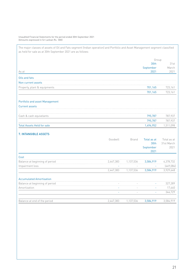(Amounts expressed in Sri Lankan Rs. '000) Unaudited Financial Statements for the period ended 30th September 2021

The major classes of assets of Oil and Fats segment (Indian operation) and Portfolio and Asset Management segment classified as held for sale as at 30th September 2021 are as follows:

|                                       |                |                          | Group       |             |
|---------------------------------------|----------------|--------------------------|-------------|-------------|
|                                       |                |                          | 30th        | 31st        |
|                                       |                |                          | September   | March       |
| As at                                 |                |                          | 2021        | 2021        |
| Oils and fats                         |                |                          |             |             |
| Non current assets                    |                |                          |             |             |
| Property, plant & equipments          |                |                          | 701,165     | 723,161     |
|                                       |                |                          | 701,165     | 723,161     |
|                                       |                |                          |             |             |
| <b>Portfolio and asset Management</b> |                |                          |             |             |
| <b>Current assets</b>                 |                |                          |             |             |
|                                       |                |                          |             |             |
| Cash & cash equivelants               |                |                          | 795,787     | 787,937     |
|                                       |                |                          | 795,787     | 787,937     |
| <b>Total Assets Held for sale</b>     |                |                          | 1,496,952   | 1,511,098   |
| <b>7. INTANGIBLE ASSETS</b>           |                |                          |             |             |
|                                       | Goodwill       | <b>Brand</b>             | Total as at | Total as at |
|                                       |                |                          | 30th        | 31st March  |
|                                       |                |                          | September   | 2021        |
|                                       |                |                          | 2021        |             |
| Cost                                  |                |                          |             |             |
| Balance at beginning of period        | 2,447,383      | 1,137,536                | 3,584,919   | 4,378,732   |
| Impairment loss                       | ÷.             | $\sim$                   | $\sim$      | [449,084]   |
|                                       | 2,447,383      | 1,137,536                | 3,584,919   | 3,929,648   |
| <b>Accumulated Amortisation</b>       |                |                          |             |             |
| Balance at beginning of period        | $\overline{a}$ | Î,                       |             | 327,289     |
| Amortization                          | $\equiv$       | $\overline{\phantom{a}}$ |             | 17,440      |
|                                       | $\bar{a}$      | $\bar{a}$                | u,          | 344,729     |
|                                       |                |                          |             |             |
| Balance at end of the period          | 2,447,383      | 1,137,536                | 3,584,919   | 3,584,919   |
|                                       |                |                          |             |             |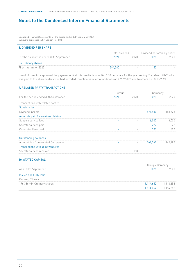(Amounts expressed in Sri Lankan Rs. '000) Unaudited Financial Statements for the period ended 30th September 2021

| 8. DIVIDEND PER SHARE                   |                |                |                             |      |
|-----------------------------------------|----------------|----------------|-----------------------------|------|
|                                         | Total dividend |                | Dividend per ordinary share |      |
| For the six months ended 30th September | 2021           | 2020           | 2021                        | 2020 |
| On Ordinary shares                      |                |                |                             |      |
| First interim for 2022                  | 294.580        | <b>Section</b> | 1.50                        |      |

Board of Directors approved the payment of first interim dividend of Rs. 1.50 per share for the year ending 31st March 2022, which was paid to the shareholders who had provided complete bank account details on 27/09/2021 and to others on 08/10/2021.

## 9. RELATED PARTY TRANSACTIONS

| Group | Company |         |         |
|-------|---------|---------|---------|
| 2021  | 2020    | 2021    | 2020    |
|       |         |         |         |
|       |         |         |         |
| ۰     | -       | 571,989 | 158,728 |
|       |         |         |         |
| ٠     |         | 6,000   | 6,000   |
|       |         | 222     | 222     |
|       | ۰       | 300     | 300     |
|       |         |         |         |
|       | -       | 169,562 | 165,782 |
|       |         |         |         |
| 118   | 118     |         |         |
|       |         |         |         |

## 10. STATED CAPITAL

|                              |      | Group / Company     |  |  |
|------------------------------|------|---------------------|--|--|
| As at 30th September         | 2021 | 2020                |  |  |
| <b>Issued and Fully Paid</b> |      |                     |  |  |
| Ordinary Shares              |      |                     |  |  |
| 196,386,914 Ordinary shares  |      | 1.114.652 1.114.652 |  |  |
|                              |      | 1.114.652 1.114.652 |  |  |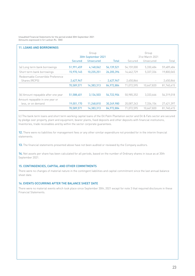(Amounts expressed in Sri Lankan Rs. '000) Unaudited Financial Statements for the period ended 30th September 2021

## 11. LOANS AND BORROWINGS

|                                     |                     | Group      |            |                 | Group      |            |
|-------------------------------------|---------------------|------------|------------|-----------------|------------|------------|
|                                     | 30th September 2021 |            |            | 31st March 2021 |            |            |
|                                     | <b>Secured</b>      | Unsecured  | Total      | Secured         | Unsecured  | Total      |
| (a) Long term bank borrowings       | 51,991,459          | 4,148,062  | 56.139.521 | 54,159,000      | 5.330.484  | 59,489,484 |
| Short term bank borrowings          | 15,970,145          | 10,235,251 | 26,205,396 | 14,462,729      | 5,337,336  | 19,800,065 |
| Redeemable Convertible Preference   |                     |            |            |                 |            |            |
| Shares (RCPS)                       | 2,627,967           | ۰          | 2,627,967  | 2.450.866       |            | 2,450,866  |
|                                     | 70,589,571          | 14.383.313 | 84,972,884 | 71,072,595      | 10,667,820 | 81,740,415 |
| (b) Amount repayable after one year | 51,588,401          | 3,134,503  | 54,722,904 | 50,985,352      | 3,333,666  | 54,319,018 |
| Amount repayable in one year or     |                     |            |            |                 |            |            |
| less, or on demand                  | 19,001,170          | 11.248.810 | 30.249.980 | 20.087.243      | 7.334.154  | 27,421,397 |
|                                     | 70.589.571          | 14.383.313 | 84.972.884 | 71.072.595      | 10.667.820 | 81.740.415 |

(c) The bank term loans and short term working capital loans of the Oil Palm Plantation sector and Oil & Fats sector are secured by pledge over property, plant and equipment, bearer plants, fixed deposits and other deposits with financial institutions, Inventories, trade receivables and by within the sector corporate guarantees.

12. There were no liabilities for management fees or any other similar expenditure not provided for in the interim financial statements.

13. The financial statements presented above have not been audited or reviewed by the Company auditors.

14. Net assets per share has been calculated for all periods, based on the number of Ordinary shares in issue as at 30th September 2021.

## 15. CONTINGENCIES, CAPITAL AND OTHER COMMITMENTS

There were no changes of material nature in the contingent liabilities and capital commitment since the last annual balance sheet date.

## 16. EVENTS OCCURRING AFTER THE BALANCE SHEET DATE

There were no material events which took place since September 30th, 2021 except for note 3 that required disclosure in these Financial Statements.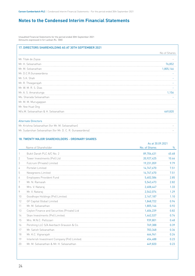(Amounts expressed in Sri Lankan Rs. '000) Unaudited Financial Statements for the period ended 30th September 2021

| 17. DIRECTORS SHAREHOLDING AS AT 30TH SEPTEMBER 2021     |              |
|----------------------------------------------------------|--------------|
|                                                          | No of Shares |
| Mr. Tilak de Zoysa                                       |              |
| Mr. H. Selvanathan                                       | 76,852       |
| Mr. M. Selvanathan                                       | 1,805,146    |
| Mr. D.C.R.Gunawardena                                    |              |
| Mr. S.K. Shah                                            |              |
| Mr. R. Theagarajah                                       |              |
| Mr. W. M. R. S. Dias                                     |              |
| Mr. A. S. Amaratunga                                     | 1,156        |
| Ms. Sharada Selvanathan                                  |              |
| Mr. M. M. Murugappan                                     |              |
| Mr. Yew Huat Ong                                         |              |
| M/s.M. Selvanathan & H. Selvanathan                      | 449,820      |
| <b>Alternate Directors</b>                               |              |
| Mr. Krishna Selvanathan (for Mr. M. Selvanathan)         |              |
| Mr. Sudarshan Selvanathan (for Mr. D. C. R. Gunawardena) |              |

## 18. TWENTY MAJOR SHAREHOLDERS - ORDINARY SHARES

|    |                                              |               | As at 30.09.2021 |  |  |  |
|----|----------------------------------------------|---------------|------------------|--|--|--|
|    | Name of Shareholder                          | No. of Shares | %                |  |  |  |
|    | Bukit Darah PLC A/C No. 2                    | 89,706,431    | 45.68            |  |  |  |
| 2  | Tower Investments (Pvt) Ltd                  | 20,927,425    | 10.66            |  |  |  |
| 3  | Fulcrum (Private) Limited                    | 19,231,059    | 9.79             |  |  |  |
| 4  | Portelet Limited                             | 14,747,670    | 7.51             |  |  |  |
| 5  | Newgreens Limited                            | 14,747,670    | 7.51             |  |  |  |
| 6  | <b>Employees Provident Fund</b>              | 5,602,586     | 2.85             |  |  |  |
| 7  | Mr. N. Ramaiah                               | 5,543,473     | 2.82             |  |  |  |
| 8  | Mrs. V. Nataraj                              | 2.608.447     | 1.33             |  |  |  |
| 9  | Mr. V. Nataraj                               | 2,542,074     | 1.29             |  |  |  |
| 10 | Goodhope Holdings (Pvt) Limited.             | 2,167,187     | 1.10             |  |  |  |
| 12 | GF Capital Global Limited                    | 1,848,722     | 0.94             |  |  |  |
| 11 | Mr. M. Selvanathan                           | 1,805,146     | 0.92             |  |  |  |
| 13 | Ceylon Finance and Securities (Private) Ltd  | 1,606,239     | 0.82             |  |  |  |
| 14 | Skan Investments (Pvt) Limited.              | 1,462,537     | 0.74             |  |  |  |
| 15 | Mrs. M.N.C. Pellizzari                       | 939,801       | 0.48             |  |  |  |
| 16 | Pershing LLC S/A Averbach Grauson & Co.      | 769,388       | 0.39             |  |  |  |
| 17 | Mr. Satish Selvanathan                       | 703,348       | 0.36             |  |  |  |
| 18 | Mr. K.C. Vignarajah                          | 464,961       | 0.24             |  |  |  |
| 19 | Interkrish Investment Company (Pvt) Limited. | 454,488       | 0.23             |  |  |  |
| 20 | Mr. M. Selvanathan & Mr. H. Selvanathan      | 449,820       | 0.23             |  |  |  |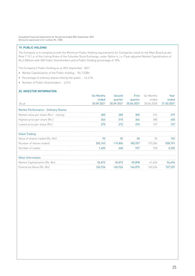(Amounts expressed in Sri Lankan Rs. '000) Unaudited Financial Statements for the period ended 30th September 2021

## 19. PUBLIC HOLDING

The Company is in compliance with the Minimum Public Holding requirements for Companies listed on the Main Board as per Rule 7.13.1.a. of the Listing Rules of the Colombo Stock Exchange, under Option 4, i.e. Float-adjusted Market Capitalization of Rs.2.5Billion with 500 Public Shareholders and a Public Holding percentage of 10%.

The Company's Public Holding as at 30th September 2021

- Market Capitalization of the Public Holding Rs.7.03Bn
- Percentage of ordinary shares held by the public 14.41%
- Number of Public Shareholders 2,012

## 20. INVESTOR INFORMATION

|                                             | <b>Six Months</b> | Second     | First      | Six Months | Year       |
|---------------------------------------------|-------------------|------------|------------|------------|------------|
|                                             | ended             | quarter    | quarter    | ended      | ended      |
| As at                                       | 30.09.2021        | 30.09.2021 | 30.06.2021 | 30.06.2020 | 31.03.2021 |
| <b>Market Performance - Ordinary Shares</b> |                   |            |            |            |            |
| Market value per share (Rs.) - closing      | 285               | 285        | 305        | 314        | 279        |
| Highest price per share (Rs.)               | 366               | 310        | 366        | 380        | 450        |
| Lowest price per share (Rs.)                | 270               | 272        | 270        | 137        | 137        |
| <b>Share Trading</b>                        |                   |            |            |            |            |
| Value of shares traded (Rs. Mn)             | 93                | 35         | 58         | 35         | 152        |
| Number of shares traded                     | 305,743           | 119,806    | 185,937    | 157,054    | 558,701    |
| Number of trades                            | 1,605             | 668        | 937        | 928        | 3,305      |
| Other Information                           |                   |            |            |            |            |
| Market Capitalization (Rs. Mn)              | 55,872            | 55,872     | 59,898     | 61,626     | 54,694     |
| Enterprise Value (Rs. Mn)                   | 160,926           | 160,926    | 164,875    | 160,636    | 157,329    |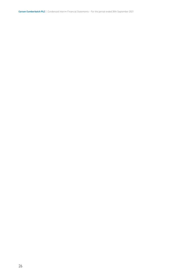**Carson Cumberbatch PLC** | Condensed Interim Financial Statements - For the period ended 30th September 2021